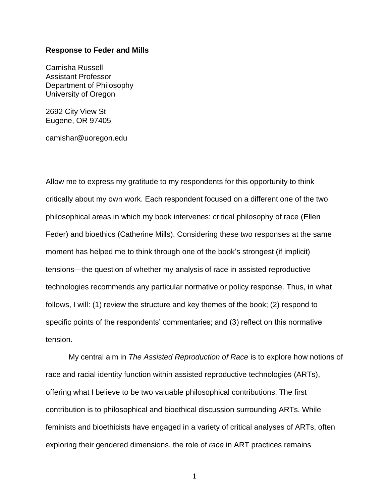## **Response to Feder and Mills**

Camisha Russell Assistant Professor Department of Philosophy University of Oregon

2692 City View St Eugene, OR 97405

camishar@uoregon.edu

Allow me to express my gratitude to my respondents for this opportunity to think critically about my own work. Each respondent focused on a different one of the two philosophical areas in which my book intervenes: critical philosophy of race (Ellen Feder) and bioethics (Catherine Mills). Considering these two responses at the same moment has helped me to think through one of the book's strongest (if implicit) tensions—the question of whether my analysis of race in assisted reproductive technologies recommends any particular normative or policy response. Thus, in what follows, I will: (1) review the structure and key themes of the book; (2) respond to specific points of the respondents' commentaries; and (3) reflect on this normative tension.

My central aim in *The Assisted Reproduction of Race* is to explore how notions of race and racial identity function within assisted reproductive technologies (ARTs), offering what I believe to be two valuable philosophical contributions. The first contribution is to philosophical and bioethical discussion surrounding ARTs. While feminists and bioethicists have engaged in a variety of critical analyses of ARTs, often exploring their gendered dimensions, the role of *race* in ART practices remains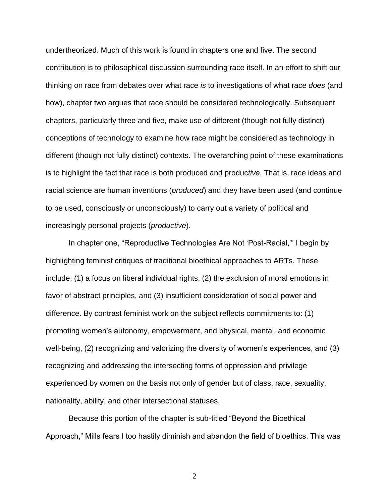undertheorized. Much of this work is found in chapters one and five. The second contribution is to philosophical discussion surrounding race itself. In an effort to shift our thinking on race from debates over what race *is* to investigations of what race *does* (and how), chapter two argues that race should be considered technologically. Subsequent chapters, particularly three and five, make use of different (though not fully distinct) conceptions of technology to examine how race might be considered as technology in different (though not fully distinct) contexts. The overarching point of these examinations is to highlight the fact that race is both produced and produc*tive*. That is, race ideas and racial science are human inventions (*produced*) and they have been used (and continue to be used, consciously or unconsciously) to carry out a variety of political and increasingly personal projects (*productive*).

In chapter one, "Reproductive Technologies Are Not 'Post-Racial,'" I begin by highlighting feminist critiques of traditional bioethical approaches to ARTs. These include: (1) a focus on liberal individual rights, (2) the exclusion of moral emotions in favor of abstract principles, and (3) insufficient consideration of social power and difference. By contrast feminist work on the subject reflects commitments to: (1) promoting women's autonomy, empowerment, and physical, mental, and economic well-being, (2) recognizing and valorizing the diversity of women's experiences, and (3) recognizing and addressing the intersecting forms of oppression and privilege experienced by women on the basis not only of gender but of class, race, sexuality, nationality, ability, and other intersectional statuses.

Because this portion of the chapter is sub-titled "Beyond the Bioethical Approach," Mills fears I too hastily diminish and abandon the field of bioethics. This was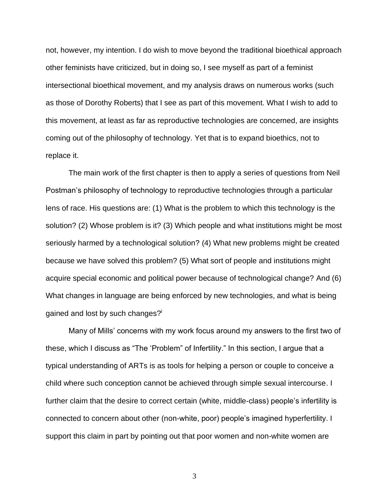not, however, my intention. I do wish to move beyond the traditional bioethical approach other feminists have criticized, but in doing so, I see myself as part of a feminist intersectional bioethical movement, and my analysis draws on numerous works (such as those of Dorothy Roberts) that I see as part of this movement. What I wish to add to this movement, at least as far as reproductive technologies are concerned, are insights coming out of the philosophy of technology. Yet that is to expand bioethics, not to replace it.

The main work of the first chapter is then to apply a series of questions from Neil Postman's philosophy of technology to reproductive technologies through a particular lens of race. His questions are: (1) What is the problem to which this technology is the solution? (2) Whose problem is it? (3) Which people and what institutions might be most seriously harmed by a technological solution? (4) What new problems might be created because we have solved this problem? (5) What sort of people and institutions might acquire special economic and political power because of technological change? And (6) What changes in language are being enforced by new technologies, and what is being gained and lost by such changes?<sup>i</sup>

Many of Mills' concerns with my work focus around my answers to the first two of these, which I discuss as "The 'Problem" of Infertility." In this section, I argue that a typical understanding of ARTs is as tools for helping a person or couple to conceive a child where such conception cannot be achieved through simple sexual intercourse. I further claim that the desire to correct certain (white, middle-class) people's infertility is connected to concern about other (non-white, poor) people's imagined hyperfertility. I support this claim in part by pointing out that poor women and non-white women are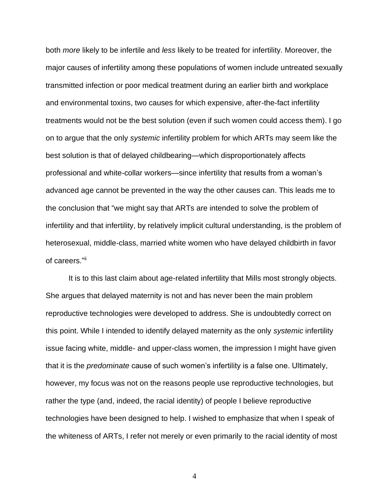both *more* likely to be infertile and *less* likely to be treated for infertility. Moreover, the major causes of infertility among these populations of women include untreated sexually transmitted infection or poor medical treatment during an earlier birth and workplace and environmental toxins, two causes for which expensive, after-the-fact infertility treatments would not be the best solution (even if such women could access them). I go on to argue that the only *systemic* infertility problem for which ARTs may seem like the best solution is that of delayed childbearing—which disproportionately affects professional and white-collar workers—since infertility that results from a woman's advanced age cannot be prevented in the way the other causes can. This leads me to the conclusion that "we might say that ARTs are intended to solve the problem of infertility and that infertility, by relatively implicit cultural understanding, is the problem of heterosexual, middle-class, married white women who have delayed childbirth in favor of careers."ii

It is to this last claim about age-related infertility that Mills most strongly objects. She argues that delayed maternity is not and has never been the main problem reproductive technologies were developed to address. She is undoubtedly correct on this point. While I intended to identify delayed maternity as the only *systemic* infertility issue facing white, middle- and upper-class women, the impression I might have given that it is the *predominate* cause of such women's infertility is a false one. Ultimately, however, my focus was not on the reasons people use reproductive technologies, but rather the type (and, indeed, the racial identity) of people I believe reproductive technologies have been designed to help. I wished to emphasize that when I speak of the whiteness of ARTs, I refer not merely or even primarily to the racial identity of most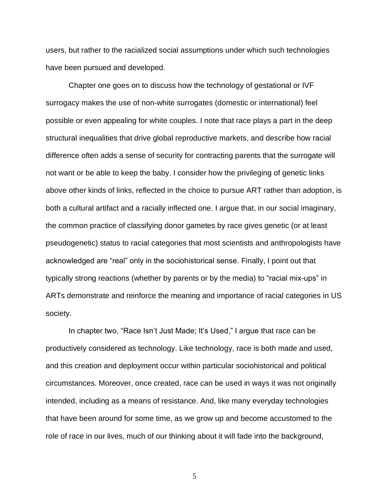users, but rather to the racialized social assumptions under which such technologies have been pursued and developed.

Chapter one goes on to discuss how the technology of gestational or IVF surrogacy makes the use of non-white surrogates (domestic or international) feel possible or even appealing for white couples. I note that race plays a part in the deep structural inequalities that drive global reproductive markets, and describe how racial difference often adds a sense of security for contracting parents that the surrogate will not want or be able to keep the baby. I consider how the privileging of genetic links above other kinds of links, reflected in the choice to pursue ART rather than adoption, is both a cultural artifact and a racially inflected one. I argue that, in our social imaginary, the common practice of classifying donor gametes by race gives genetic (or at least pseudogenetic) status to racial categories that most scientists and anthropologists have acknowledged are "real" only in the sociohistorical sense. Finally, I point out that typically strong reactions (whether by parents or by the media) to "racial mix-ups" in ARTs demonstrate and reinforce the meaning and importance of racial categories in US society.

In chapter two, "Race Isn't Just Made; It's Used," I argue that race can be productively considered as technology. Like technology, race is both made and used, and this creation and deployment occur within particular sociohistorical and political circumstances. Moreover, once created, race can be used in ways it was not originally intended, including as a means of resistance. And, like many everyday technologies that have been around for some time, as we grow up and become accustomed to the role of race in our lives, much of our thinking about it will fade into the background,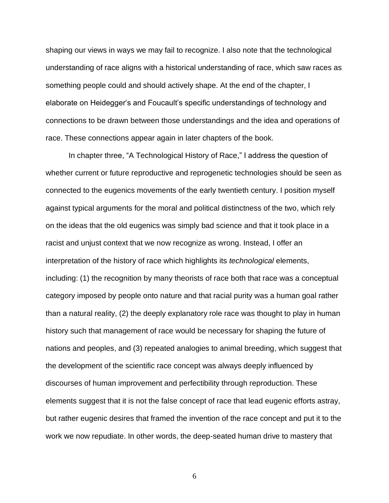shaping our views in ways we may fail to recognize. I also note that the technological understanding of race aligns with a historical understanding of race, which saw races as something people could and should actively shape. At the end of the chapter, I elaborate on Heidegger's and Foucault's specific understandings of technology and connections to be drawn between those understandings and the idea and operations of race. These connections appear again in later chapters of the book.

In chapter three, "A Technological History of Race," I address the question of whether current or future reproductive and reprogenetic technologies should be seen as connected to the eugenics movements of the early twentieth century. I position myself against typical arguments for the moral and political distinctness of the two, which rely on the ideas that the old eugenics was simply bad science and that it took place in a racist and unjust context that we now recognize as wrong. Instead, I offer an interpretation of the history of race which highlights its *technological* elements, including: (1) the recognition by many theorists of race both that race was a conceptual category imposed by people onto nature and that racial purity was a human goal rather than a natural reality, (2) the deeply explanatory role race was thought to play in human history such that management of race would be necessary for shaping the future of nations and peoples, and (3) repeated analogies to animal breeding, which suggest that the development of the scientific race concept was always deeply influenced by discourses of human improvement and perfectibility through reproduction. These elements suggest that it is not the false concept of race that lead eugenic efforts astray, but rather eugenic desires that framed the invention of the race concept and put it to the work we now repudiate. In other words, the deep-seated human drive to mastery that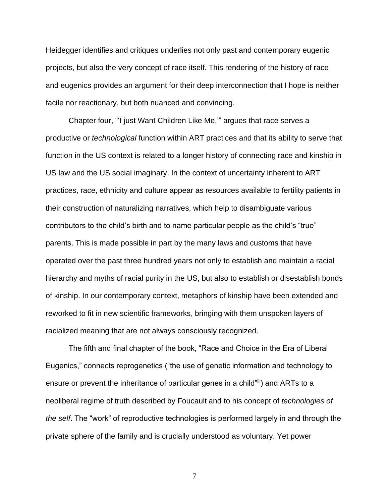Heidegger identifies and critiques underlies not only past and contemporary eugenic projects, but also the very concept of race itself. This rendering of the history of race and eugenics provides an argument for their deep interconnection that I hope is neither facile nor reactionary, but both nuanced and convincing.

Chapter four, "'I just Want Children Like Me,'" argues that race serves a productive or *technological* function within ART practices and that its ability to serve that function in the US context is related to a longer history of connecting race and kinship in US law and the US social imaginary. In the context of uncertainty inherent to ART practices, race, ethnicity and culture appear as resources available to fertility patients in their construction of naturalizing narratives, which help to disambiguate various contributors to the child's birth and to name particular people as the child's "true" parents. This is made possible in part by the many laws and customs that have operated over the past three hundred years not only to establish and maintain a racial hierarchy and myths of racial purity in the US, but also to establish or disestablish bonds of kinship. In our contemporary context, metaphors of kinship have been extended and reworked to fit in new scientific frameworks, bringing with them unspoken layers of racialized meaning that are not always consciously recognized.

The fifth and final chapter of the book, "Race and Choice in the Era of Liberal Eugenics," connects reprogenetics ("the use of genetic information and technology to ensure or prevent the inheritance of particular genes in a child"iii) and ARTs to a neoliberal regime of truth described by Foucault and to his concept of *technologies of the self*. The "work" of reproductive technologies is performed largely in and through the private sphere of the family and is crucially understood as voluntary. Yet power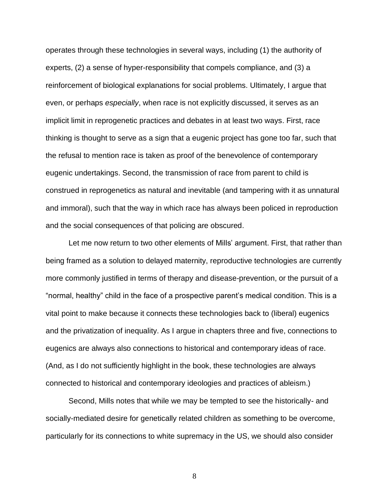operates through these technologies in several ways, including (1) the authority of experts, (2) a sense of hyper-responsibility that compels compliance, and (3) a reinforcement of biological explanations for social problems. Ultimately, I argue that even, or perhaps *especially*, when race is not explicitly discussed, it serves as an implicit limit in reprogenetic practices and debates in at least two ways. First, race thinking is thought to serve as a sign that a eugenic project has gone too far, such that the refusal to mention race is taken as proof of the benevolence of contemporary eugenic undertakings. Second, the transmission of race from parent to child is construed in reprogenetics as natural and inevitable (and tampering with it as unnatural and immoral), such that the way in which race has always been policed in reproduction and the social consequences of that policing are obscured.

Let me now return to two other elements of Mills' argument. First, that rather than being framed as a solution to delayed maternity, reproductive technologies are currently more commonly justified in terms of therapy and disease-prevention, or the pursuit of a "normal, healthy" child in the face of a prospective parent's medical condition. This is a vital point to make because it connects these technologies back to (liberal) eugenics and the privatization of inequality. As I argue in chapters three and five, connections to eugenics are always also connections to historical and contemporary ideas of race. (And, as I do not sufficiently highlight in the book, these technologies are always connected to historical and contemporary ideologies and practices of ableism.)

Second, Mills notes that while we may be tempted to see the historically- and socially-mediated desire for genetically related children as something to be overcome, particularly for its connections to white supremacy in the US, we should also consider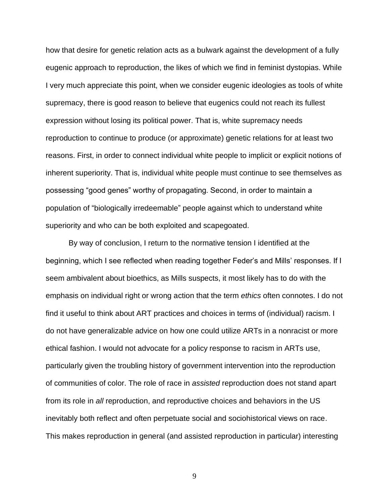how that desire for genetic relation acts as a bulwark against the development of a fully eugenic approach to reproduction, the likes of which we find in feminist dystopias. While I very much appreciate this point, when we consider eugenic ideologies as tools of white supremacy, there is good reason to believe that eugenics could not reach its fullest expression without losing its political power. That is, white supremacy needs reproduction to continue to produce (or approximate) genetic relations for at least two reasons. First, in order to connect individual white people to implicit or explicit notions of inherent superiority. That is, individual white people must continue to see themselves as possessing "good genes" worthy of propagating. Second, in order to maintain a population of "biologically irredeemable" people against which to understand white superiority and who can be both exploited and scapegoated.

By way of conclusion, I return to the normative tension I identified at the beginning, which I see reflected when reading together Feder's and Mills' responses. If I seem ambivalent about bioethics, as Mills suspects, it most likely has to do with the emphasis on individual right or wrong action that the term *ethics* often connotes. I do not find it useful to think about ART practices and choices in terms of (individual) racism. I do not have generalizable advice on how one could utilize ARTs in a nonracist or more ethical fashion. I would not advocate for a policy response to racism in ARTs use, particularly given the troubling history of government intervention into the reproduction of communities of color. The role of race in *assisted* reproduction does not stand apart from its role in *all* reproduction, and reproductive choices and behaviors in the US inevitably both reflect and often perpetuate social and sociohistorical views on race. This makes reproduction in general (and assisted reproduction in particular) interesting